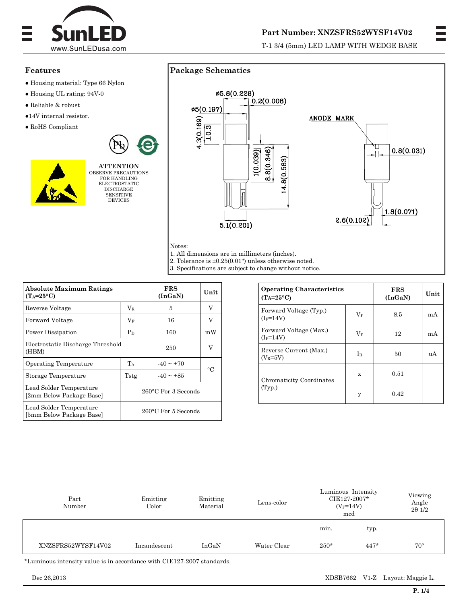

## **Part Number: XNZSFRS52WYSF14V02**

T-1 3/4 (5mm) LED LAMP WITH WEDGE BASE

### **Features**

- Housing material: Type 66 Nylon
- Housing UL rating: 94V-0
- Reliable & robust
- ●14V internal resistor.
- RoHS Compliant



FOR HANDLING ELECTROSTATIC **DISCHARGE** SENSITIVE DEVICES



1. All dimensions are in millimeters (inches).

**Package Schematics** 

2. Tolerance is  $\pm 0.25(0.01)$  unless otherwise noted.

3. Specifications are subject to change without notice.

| <b>Absolute Maximum Ratings</b><br>$(T_A=25^{\circ}C)$ |                               | <b>FRS</b><br>Unit<br>(InGAN) |                |  |
|--------------------------------------------------------|-------------------------------|-------------------------------|----------------|--|
| Reverse Voltage                                        | $\rm V_R$                     | 5                             | V              |  |
| Forward Voltage                                        | $V_F$                         | 16                            | V              |  |
| Power Dissipation<br>$P_D$                             |                               | 160                           | mW             |  |
| Electrostatic Discharge Threshold<br>(HBM)             |                               | 250                           | V              |  |
| Operating Temperature                                  | TA                            | $-40 \sim +70$                | $\circ$ $\cap$ |  |
| Storage Temperature                                    | Tstg                          | $-40 \sim +85$                |                |  |
| Lead Solder Temperature<br>[2mm Below Package Base]    | 260°C For 3 Seconds           |                               |                |  |
| Lead Solder Temperature<br>[5mm Below Package Base]    | $260^{\circ}$ C For 5 Seconds |                               |                |  |

| <b>Operating Characteristics</b><br>$(T_A=25^{\circ}C)$ |             | <b>FRS</b><br>(InGAN) | Unit |
|---------------------------------------------------------|-------------|-----------------------|------|
| Forward Voltage (Typ.)<br>$(I_F=14V)$                   | $\rm V_{F}$ | 8.5                   | mA   |
| Forward Voltage (Max.)<br>$(I_F=14V)$                   | $\rm V_{F}$ | 12                    | mA   |
| Reverse Current (Max.)<br>$(V_R=5V)$                    | $I_{R}$     | 50                    | uA   |
| Chromaticity Coordinates<br>(Typ.)                      | X           | 0.51                  |      |
|                                                         | у           | 0.42                  |      |

| Part<br>Number     | Emitting<br>Color | Emitting<br>Material | Lens-color  | Luminous Intensity<br>CIE127-2007*<br>$(V_F = 14V)$<br>mcd |        | Viewing<br>Angle<br>$2\theta$ 1/2 |
|--------------------|-------------------|----------------------|-------------|------------------------------------------------------------|--------|-----------------------------------|
|                    |                   |                      |             | min.                                                       | typ.   |                                   |
| XNZSFRS52WYSF14V02 | Incandescent      | InGaN                | Water Clear | $250*$                                                     | $447*$ | $70^{\circ}$                      |

\*Luminous intensity value is in accordance with CIE127-2007 standards.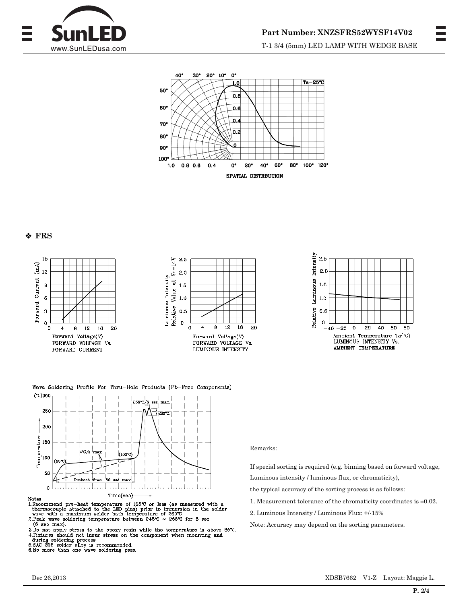



### **FRS**



Wave Soldering Profile For Thru-Hole Products (Pb-Free Components)



N.Recommend pre-heat temperature of 105°C or less (as measured with a thermocouple attached to the LED pins) prior to immersion in the solder wave with a maximum solder bath temperature of  $260^{\circ}$ C 2. Peak wave soldering temperature between 245°C  $\sim$  255°C for 3 sec (5 sec max).

3. Do not apply stress to the epoxy resin while the temperature is above 85°C. 4. Pixtures should not incur stress on the component when mounting and<br>during soldering process.<br>5.34C 365 solder alloy is recommended.<br>5.No more than one wave soldering pass.

#### Remarks:

If special sorting is required (e.g. binning based on forward voltage, Luminous intensity / luminous flux, or chromaticity),

- the typical accuracy of the sorting process is as follows:
- 1. Measurement tolerance of the chromaticity coordinates is  $\pm 0.02$ .
- 2. Luminous Intensity / Luminous Flux: +/-15%

Note: Accuracy may depend on the sorting parameters.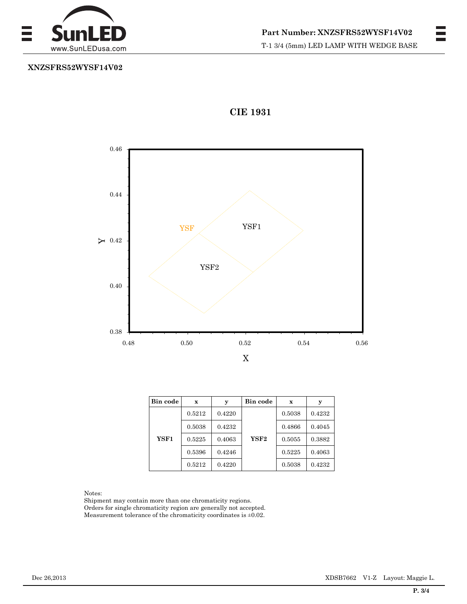

# **XNZSFRS52WYSF14V02**



# **CIE 1931**

| Bin code | $\mathbf x$ | у      | Bin code | $\mathbf x$ | у      |
|----------|-------------|--------|----------|-------------|--------|
|          | 0.5212      | 0.4220 |          | 0.5038      | 0.4232 |
|          | 0.5038      | 0.4232 |          | 0.4866      | 0.4045 |
| YSF1     | 0.5225      | 0.4063 | YSF2     | 0.5055      | 0.3882 |
|          | 0.5396      | 0.4246 |          | 0.5225      | 0.4063 |
|          | 0.5212      | 0.4220 |          | 0.5038      | 0.4232 |

#### Notes:

Shipment may contain more than one chromaticity regions. Orders for single chromaticity region are generally not accepted. Measurement tolerance of the chromaticity coordinates is  $\pm 0.02$ .